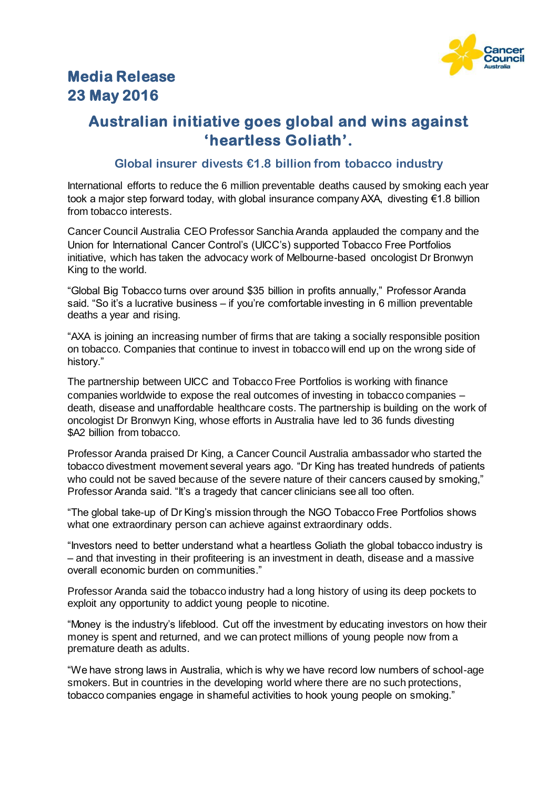

## **Media Release 23 May 2016**

## **Australian initiative goes global and wins against 'heartless Goliath'.**

## **Global insurer divests €1.8 billion from tobacco industry**

International efforts to reduce the 6 million preventable deaths caused by smoking each year took a major step forward today, with global insurance company AXA, divesting €1.8 billion from tobacco interests.

Cancer Council Australia CEO Professor Sanchia Aranda applauded the company and the Union for International Cancer Control's (UICC's) supported Tobacco Free Portfolios initiative, which has taken the advocacy work of Melbourne-based oncologist Dr Bronwyn King to the world.

"Global Big Tobacco turns over around \$35 billion in profits annually," Professor Aranda said. "So it's a lucrative business – if you're comfortable investing in 6 million preventable deaths a year and rising.

"AXA is joining an increasing number of firms that are taking a socially responsible position on tobacco. Companies that continue to invest in tobacco will end up on the wrong side of history."

The partnership between UICC and Tobacco Free Portfolios is working with finance companies worldwide to expose the real outcomes of investing in tobacco companies – death, disease and unaffordable healthcare costs. The partnership is building on the work of oncologist Dr Bronwyn King, whose efforts in Australia have led to 36 funds divesting \$A2 billion from tobacco.

Professor Aranda praised Dr King, a Cancer Council Australia ambassador who started the tobacco divestment movement several years ago. "Dr King has treated hundreds of patients who could not be saved because of the severe nature of their cancers caused by smoking," Professor Aranda said. "It's a tragedy that cancer clinicians see all too often.

"The global take-up of Dr King's mission through the NGO Tobacco Free Portfolios shows what one extraordinary person can achieve against extraordinary odds.

"Investors need to better understand what a heartless Goliath the global tobacco industry is – and that investing in their profiteering is an investment in death, disease and a massive overall economic burden on communities."

Professor Aranda said the tobacco industry had a long history of using its deep pockets to exploit any opportunity to addict young people to nicotine.

"Money is the industry's lifeblood. Cut off the investment by educating investors on how their money is spent and returned, and we can protect millions of young people now from a premature death as adults.

"We have strong laws in Australia, which is why we have record low numbers of school-age smokers. But in countries in the developing world where there are no such protections, tobacco companies engage in shameful activities to hook young people on smoking."